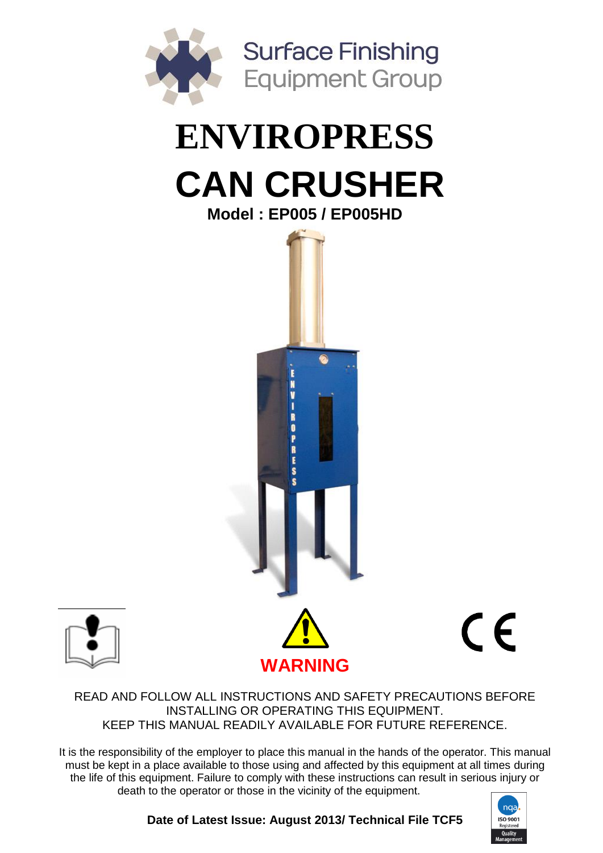

# **ENVIROPRESS CAN CRUSHER Model : EP005 / EP005HD**



 $C \in$ 



#### READ AND FOLLOW ALL INSTRUCTIONS AND SAFETY PRECAUTIONS BEFORE INSTALLING OR OPERATING THIS EQUIPMENT. KEEP THIS MANUAL READILY AVAILABLE FOR FUTURE REFERENCE.

It is the responsibility of the employer to place this manual in the hands of the operator. This manual must be kept in a place available to those using and affected by this equipment at all times during the life of this equipment. Failure to comply with these instructions can result in serious injury or death to the operator or those in the vicinity of the equipment.



**Date of Latest Issue: August 2013/ Technical File TCF5**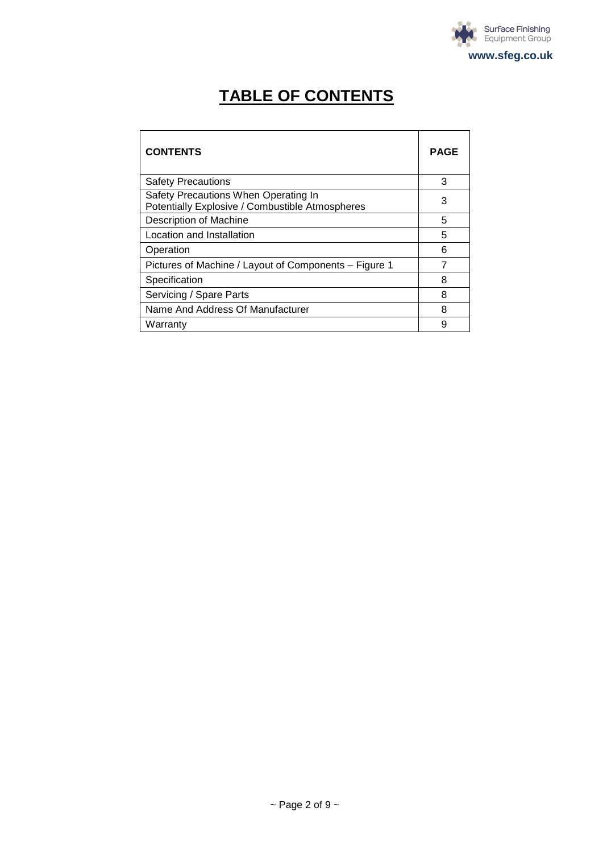

# **TABLE OF CONTENTS**

| <b>CONTENTS</b>                                                                         | PAGE |
|-----------------------------------------------------------------------------------------|------|
| <b>Safety Precautions</b>                                                               | 3    |
| Safety Precautions When Operating In<br>Potentially Explosive / Combustible Atmospheres | 3    |
| Description of Machine                                                                  | 5    |
| Location and Installation                                                               | 5    |
| Operation                                                                               | 6    |
| Pictures of Machine / Layout of Components – Figure 1                                   |      |
| Specification                                                                           | 8    |
| Servicing / Spare Parts                                                                 | 8    |
| Name And Address Of Manufacturer                                                        | 8    |
| Warranty                                                                                | 9    |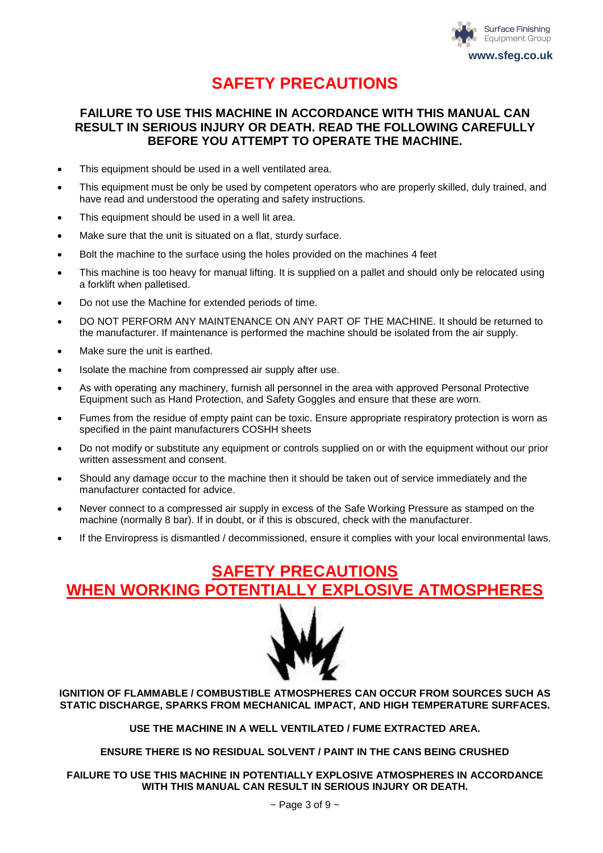

### **SAFETY PRECAUTIONS**

#### **FAILURE TO USE THIS MACHINE IN ACCORDANCE WITH THIS MANUAL CAN RESULT IN SERIOUS INJURY OR DEATH. READ THE FOLLOWING CAREFULLY BEFORE YOU ATTEMPT TO OPERATE THE MACHINE.**

- This equipment should be used in a well ventilated area.
- This equipment must be only be used by competent operators who are properly skilled, duly trained, and have read and understood the operating and safety instructions.
- This equipment should be used in a well lit area.
- Make sure that the unit is situated on a flat, sturdy surface.
- Bolt the machine to the surface using the holes provided on the machines 4 feet
- This machine is too heavy for manual lifting. It is supplied on a pallet and should only be relocated using a forklift when palletised.
- Do not use the Machine for extended periods of time.
- DO NOT PERFORM ANY MAINTENANCE ON ANY PART OF THE MACHINE. It should be returned to the manufacturer. If maintenance is performed the machine should be isolated from the air supply.
- Make sure the unit is earthed.
- Isolate the machine from compressed air supply after use.
- As with operating any machinery, furnish all personnel in the area with approved Personal Protective Equipment such as Hand Protection, and Safety Goggles and ensure that these are worn.
- Fumes from the residue of empty paint can be toxic. Ensure appropriate respiratory protection is worn as specified in the paint manufacturers COSHH sheets
- Do not modify or substitute any equipment or controls supplied on or with the equipment without our prior written assessment and consent.
- Should any damage occur to the machine then it should be taken out of service immediately and the manufacturer contacted for advice.
- Never connect to a compressed air supply in excess of the Safe Working Pressure as stamped on the machine (normally 8 bar). If in doubt, or if this is obscured, check with the manufacturer.
- If the Enviropress is dismantled / decommissioned, ensure it complies with your local environmental laws.

### **SAFETY PRECAUTIONS WHEN WORKING POTENTIALLY EXPLOSIVE ATMOSPHERES**



**IGNITION OF FLAMMABLE / COMBUSTIBLE ATMOSPHERES CAN OCCUR FROM SOURCES SUCH AS STATIC DISCHARGE, SPARKS FROM MECHANICAL IMPACT, AND HIGH TEMPERATURE SURFACES.**

**USE THE MACHINE IN A WELL VENTILATED / FUME EXTRACTED AREA.**

**ENSURE THERE IS NO RESIDUAL SOLVENT / PAINT IN THE CANS BEING CRUSHED**

**FAILURE TO USE THIS MACHINE IN POTENTIALLY EXPLOSIVE ATMOSPHERES IN ACCORDANCE WITH THIS MANUAL CAN RESULT IN SERIOUS INJURY OR DEATH.**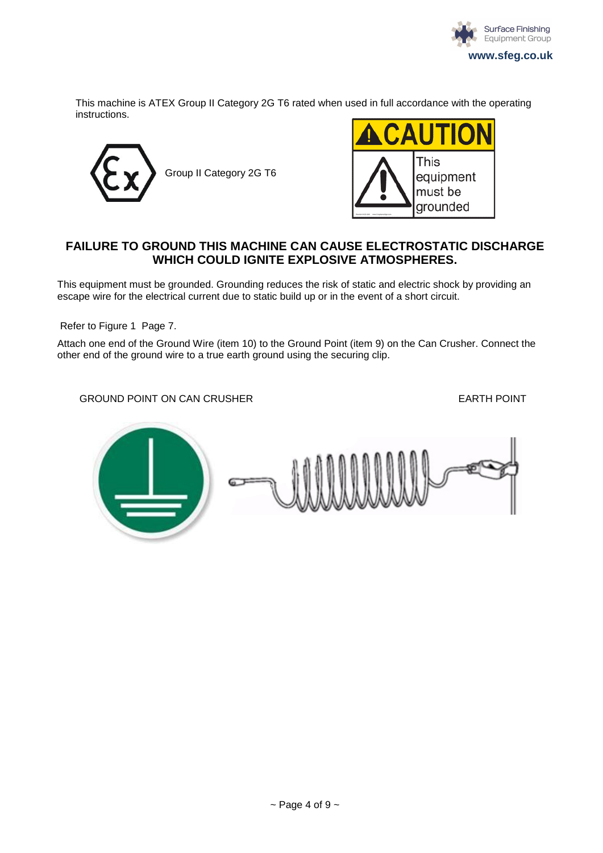

This machine is ATEX Group II Category 2G T6 rated when used in full accordance with the operating instructions.





#### **FAILURE TO GROUND THIS MACHINE CAN CAUSE ELECTROSTATIC DISCHARGE WHICH COULD IGNITE EXPLOSIVE ATMOSPHERES.**

This equipment must be grounded. Grounding reduces the risk of static and electric shock by providing an escape wire for the electrical current due to static build up or in the event of a short circuit.

Refer to Figure 1 Page 7.

Attach one end of the Ground Wire (item 10) to the Ground Point (item 9) on the Can Crusher. Connect the other end of the ground wire to a true earth ground using the securing clip.

GROUND POINT ON CAN CRUSHER **EARTH POINT** 

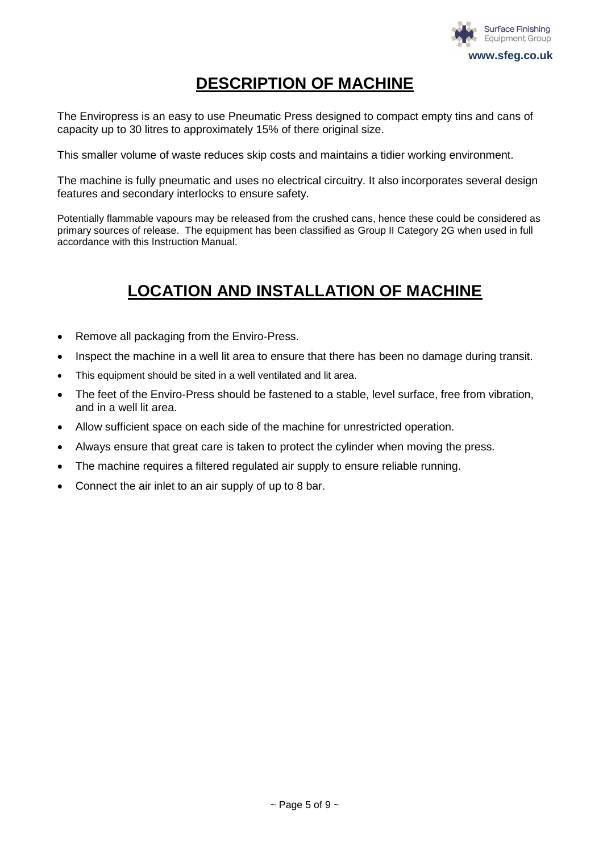

### **DESCRIPTION OF MACHINE**

The Enviropress is an easy to use Pneumatic Press designed to compact empty tins and cans of capacity up to 30 litres to approximately 15% of there original size.

This smaller volume of waste reduces skip costs and maintains a tidier working environment.

The machine is fully pneumatic and uses no electrical circuitry. It also incorporates several design features and secondary interlocks to ensure safety.

Potentially flammable vapours may be released from the crushed cans, hence these could be considered as primary sources of release. The equipment has been classified as Group II Category 2G when used in full accordance with this Instruction Manual.

## **LOCATION AND INSTALLATION OF MACHINE**

- Remove all packaging from the Enviro-Press.
- Inspect the machine in a well lit area to ensure that there has been no damage during transit.
- This equipment should be sited in a well ventilated and lit area.
- The feet of the Enviro-Press should be fastened to a stable, level surface, free from vibration, and in a well lit area.
- Allow sufficient space on each side of the machine for unrestricted operation.
- Always ensure that great care is taken to protect the cylinder when moving the press.
- The machine requires a filtered regulated air supply to ensure reliable running.
- Connect the air inlet to an air supply of up to 8 bar.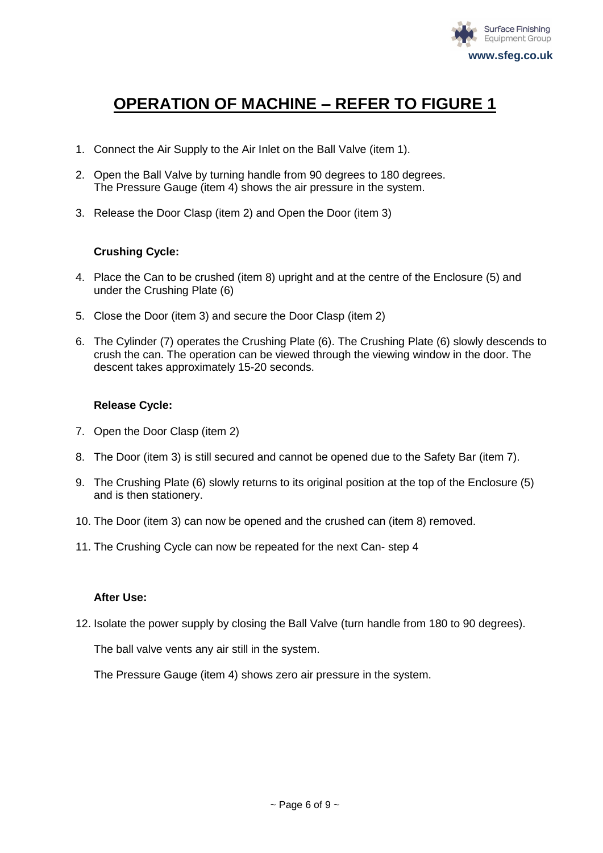

### **OPERATION OF MACHINE – REFER TO FIGURE 1**

- 1. Connect the Air Supply to the Air Inlet on the Ball Valve (item 1).
- 2. Open the Ball Valve by turning handle from 90 degrees to 180 degrees. The Pressure Gauge (item 4) shows the air pressure in the system.
- 3. Release the Door Clasp (item 2) and Open the Door (item 3)

#### **Crushing Cycle:**

- 4. Place the Can to be crushed (item 8) upright and at the centre of the Enclosure (5) and under the Crushing Plate (6)
- 5. Close the Door (item 3) and secure the Door Clasp (item 2)
- 6. The Cylinder (7) operates the Crushing Plate (6). The Crushing Plate (6) slowly descends to crush the can. The operation can be viewed through the viewing window in the door. The descent takes approximately 15-20 seconds.

#### **Release Cycle:**

- 7. Open the Door Clasp (item 2)
- 8. The Door (item 3) is still secured and cannot be opened due to the Safety Bar (item 7).
- 9. The Crushing Plate (6) slowly returns to its original position at the top of the Enclosure (5) and is then stationery.
- 10. The Door (item 3) can now be opened and the crushed can (item 8) removed.
- 11. The Crushing Cycle can now be repeated for the next Can- step 4

#### **After Use:**

12. Isolate the power supply by closing the Ball Valve (turn handle from 180 to 90 degrees).

The ball valve vents any air still in the system.

The Pressure Gauge (item 4) shows zero air pressure in the system.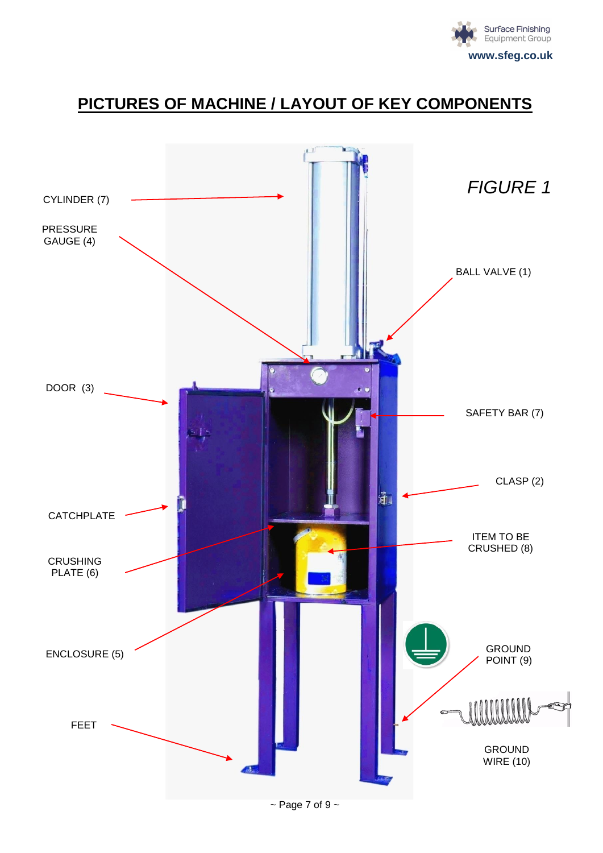

### **PICTURES OF MACHINE / LAYOUT OF KEY COMPONENTS**

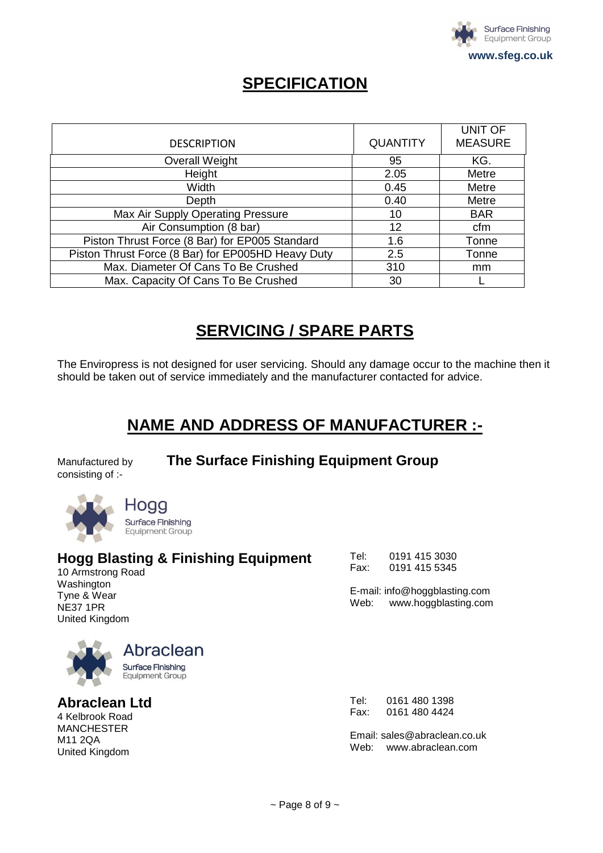

### **SPECIFICATION**

| <b>DESCRIPTION</b>                                 | <b>QUANTITY</b> | <b>UNIT OF</b><br><b>MEASURE</b> |
|----------------------------------------------------|-----------------|----------------------------------|
| <b>Overall Weight</b>                              | 95              | KG.                              |
| Height                                             | 2.05            | Metre                            |
| Width                                              | 0.45            | Metre                            |
| Depth                                              | 0.40            | Metre                            |
| Max Air Supply Operating Pressure                  | 10              | <b>BAR</b>                       |
| Air Consumption (8 bar)                            | 12              | cfm                              |
| Piston Thrust Force (8 Bar) for EP005 Standard     | 1.6             | Tonne                            |
| Piston Thrust Force (8 Bar) for EP005HD Heavy Duty | 2.5             | Tonne                            |
| Max. Diameter Of Cans To Be Crushed                | 310             | mm                               |
| Max. Capacity Of Cans To Be Crushed                | 30              |                                  |

### **SERVICING / SPARE PARTS**

The Enviropress is not designed for user servicing. Should any damage occur to the machine then it should be taken out of service immediately and the manufacturer contacted for advice.

### **NAME AND ADDRESS OF MANUFACTURER :-**

consisting of :-

Manufactured by **The Surface Finishing Equipment Group**



Hoac Surface Finishing **Equipment Group** 

### **Hogg Blasting & Finishing Equipment**

10 Armstrong Road Washington Tyne & Wear NE37 1PR United Kingdom

| Tel: | 0191 415 3030 |
|------|---------------|
| Fax: | 0191 415 5345 |

E-mail: info@hoggblasting.com Web: www.hoggblasting.com



**Abraclean Ltd** 

4 Kelbrook Road MANCHESTER M11 2QA United Kingdom

Tel: 0161 480 1398 Fax: 0161 480 4424

Email: [sales@abraclean.co.uk](mailto:sales@abraclean.co.uk) Web: www.abraclean.com